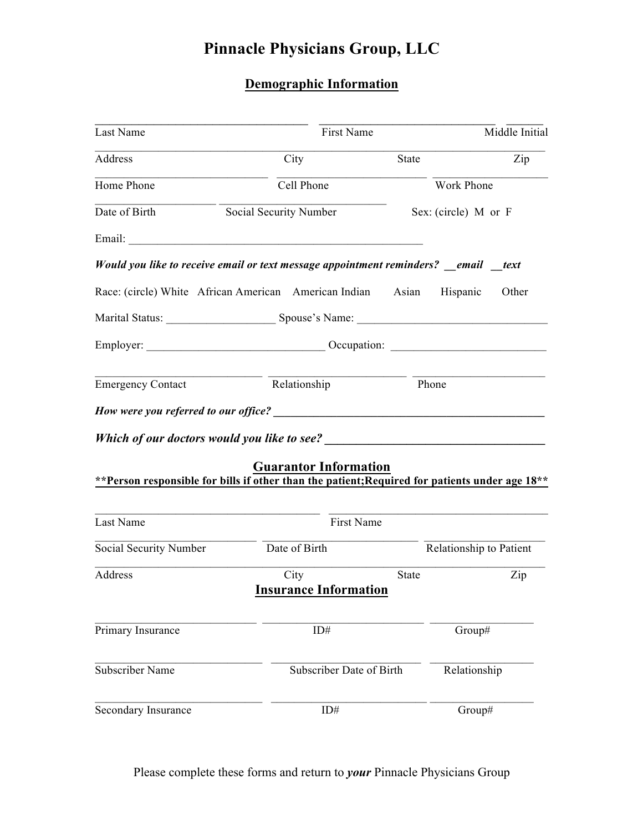## **Demographic Information**

| Last Name                                                                                                                                                                                                                           | First Name                   |              | Middle Initial          |  |
|-------------------------------------------------------------------------------------------------------------------------------------------------------------------------------------------------------------------------------------|------------------------------|--------------|-------------------------|--|
| Address                                                                                                                                                                                                                             | City                         | <b>State</b> | Zip                     |  |
| Home Phone                                                                                                                                                                                                                          | Cell Phone                   |              | Work Phone              |  |
| Date of Birth                                                                                                                                                                                                                       | Social Security Number       |              | Sex: (circle) M or F    |  |
|                                                                                                                                                                                                                                     |                              |              |                         |  |
| Would you like to receive email or text message appointment reminders? email text                                                                                                                                                   |                              |              |                         |  |
| Race: (circle) White African American American Indian Asian                                                                                                                                                                         |                              |              | Hispanic<br>Other       |  |
| Marital Status: Spouse's Name:                                                                                                                                                                                                      |                              |              |                         |  |
| Employer: <u>Compare Containing</u> Compare Compare Compare Compare Compare Compare Compare Compare Compare Compare Compare Compare Compare Compare Compare Compare Compare Compare Compare Compare Compare Compare Compare Compare |                              |              |                         |  |
| <b>Emergency Contact</b>                                                                                                                                                                                                            | Relationship                 | Phone        |                         |  |
|                                                                                                                                                                                                                                     |                              |              |                         |  |
| Which of our doctors would you like to see?                                                                                                                                                                                         |                              |              |                         |  |
|                                                                                                                                                                                                                                     | <b>Guarantor Information</b> |              |                         |  |
| ** Person responsible for bills if other than the patient; Required for patients under age 18**                                                                                                                                     |                              |              |                         |  |
| Last Name                                                                                                                                                                                                                           | First Name                   |              |                         |  |
| Social Security Number                                                                                                                                                                                                              | Date of Birth                |              | Relationship to Patient |  |
| Address                                                                                                                                                                                                                             | City                         | State        | Zip                     |  |
|                                                                                                                                                                                                                                     | <b>Insurance Information</b> |              |                         |  |
| Primary Insurance                                                                                                                                                                                                                   | $ID#$                        |              | Group#                  |  |
| <b>Subscriber Name</b>                                                                                                                                                                                                              | Subscriber Date of Birth     |              | Relationship            |  |
| Secondary Insurance                                                                                                                                                                                                                 | ID#                          |              | Group#                  |  |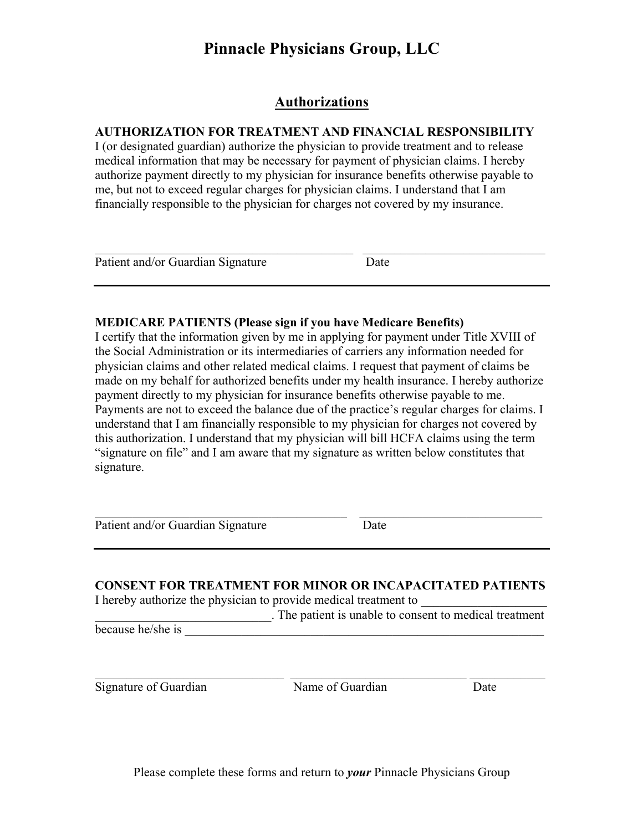### **Authorizations**

### **AUTHORIZATION FOR TREATMENT AND FINANCIAL RESPONSIBILITY**

I (or designated guardian) authorize the physician to provide treatment and to release medical information that may be necessary for payment of physician claims. I hereby authorize payment directly to my physician for insurance benefits otherwise payable to me, but not to exceed regular charges for physician claims. I understand that I am financially responsible to the physician for charges not covered by my insurance.

| Patient and/or Guardian Signature | Date |  |
|-----------------------------------|------|--|

### **MEDICARE PATIENTS (Please sign if you have Medicare Benefits)**

I certify that the information given by me in applying for payment under Title XVIII of the Social Administration or its intermediaries of carriers any information needed for physician claims and other related medical claims. I request that payment of claims be made on my behalf for authorized benefits under my health insurance. I hereby authorize payment directly to my physician for insurance benefits otherwise payable to me. Payments are not to exceed the balance due of the practice's regular charges for claims. I understand that I am financially responsible to my physician for charges not covered by this authorization. I understand that my physician will bill HCFA claims using the term "signature on file" and I am aware that my signature as written below constitutes that signature.

Patient and/or Guardian Signature Date

**CONSENT FOR TREATMENT FOR MINOR OR INCAPACITATED PATIENTS**

 $\mathcal{L}_\text{max}$  , and the contribution of the contribution of the contribution of the contribution of the contribution of the contribution of the contribution of the contribution of the contribution of the contribution of t

I hereby authorize the physician to provide medical treatment to

\_\_\_\_\_\_\_\_\_\_\_\_\_\_\_\_\_\_\_\_\_\_\_\_\_\_\_\_. The patient is unable to consent to medical treatment because he/she is

 $\_$  , and the contribution of the contribution of  $\overline{\mathcal{L}}$  , and the contribution of  $\overline{\mathcal{L}}$ Signature of Guardian Name of Guardian Date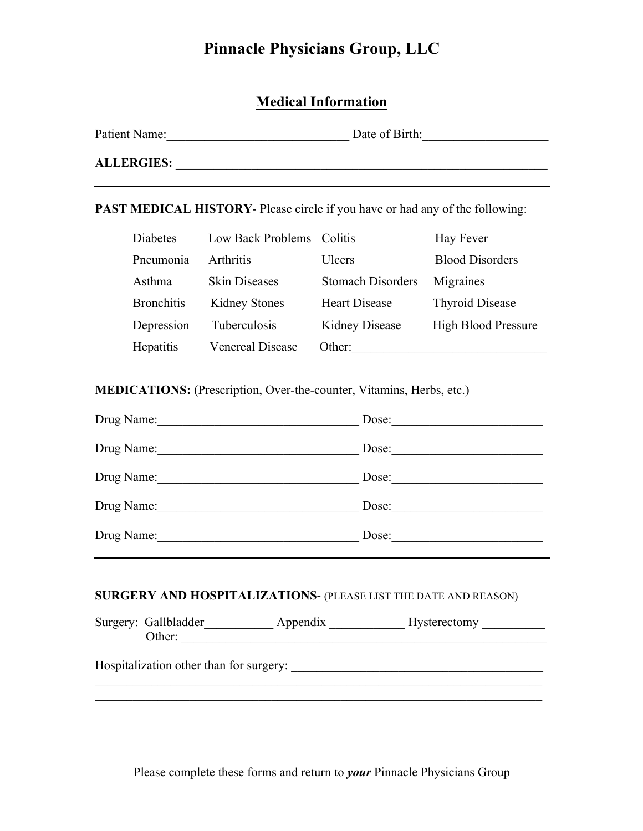## **Medical Information**

| Patient Name:     | Date of Birth: |
|-------------------|----------------|
| <b>ALLERGIES:</b> |                |

**PAST MEDICAL HISTORY**- Please circle if you have or had any of the following:

| Diabetes          | Low Back Problems Colitis |                          | Hay Fever                  |
|-------------------|---------------------------|--------------------------|----------------------------|
| Pneumonia         | <b>Arthritis</b>          | Ulcers                   | <b>Blood Disorders</b>     |
| Asthma            | <b>Skin Diseases</b>      | <b>Stomach Disorders</b> | Migraines                  |
| <b>Bronchitis</b> | <b>Kidney Stones</b>      | <b>Heart Disease</b>     | <b>Thyroid Disease</b>     |
| Depression        | Tuberculosis              | <b>Kidney Disease</b>    | <b>High Blood Pressure</b> |
| Hepatitis         | <b>Venereal Disease</b>   | Other:                   |                            |

**MEDICATIONS:** (Prescription, Over-the-counter, Vitamins, Herbs, etc.)

| Drug Name: | Dose: |
|------------|-------|
| Drug Name: | Dose: |
| Drug Name: | Dose: |
| Drug Name: | Dose: |
| Drug Name: | Dose: |

### **SURGERY AND HOSPITALIZATIONS**- (PLEASE LIST THE DATE AND REASON)

| Surgery: Gallbladder | Appendix                                | <b>Hysterectomy</b> |  |
|----------------------|-----------------------------------------|---------------------|--|
| Other:               |                                         |                     |  |
|                      | Hospitalization other than for surgery: |                     |  |
|                      |                                         |                     |  |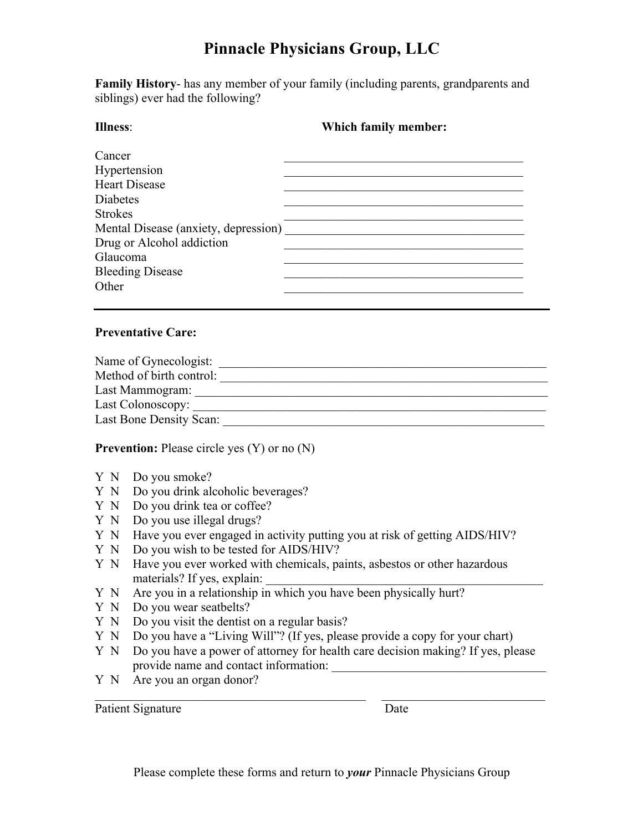**Family History**- has any member of your family (including parents, grandparents and siblings) ever had the following?

| Illness <sup>-</sup>                 | Which family member: |
|--------------------------------------|----------------------|
| Cancer                               |                      |
| Hypertension                         |                      |
| <b>Heart Disease</b>                 |                      |
| <b>Diabetes</b>                      |                      |
| <b>Strokes</b>                       |                      |
| Mental Disease (anxiety, depression) |                      |
| Drug or Alcohol addiction            |                      |
| Glaucoma                             |                      |
| <b>Bleeding Disease</b>              |                      |
| Other                                |                      |
|                                      |                      |

### **Preventative Care:**

| Name of Gynecologist:    |  |
|--------------------------|--|
| Method of birth control: |  |
| Last Mammogram:          |  |
| Last Colonoscopy:        |  |
| Last Bone Density Scan:  |  |

**Prevention:** Please circle yes (Y) or no (N)

- Y N Do you smoke?
- Y N Do you drink alcoholic beverages?
- Y N Do you drink tea or coffee?
- Y N Do you use illegal drugs?
- Y N Have you ever engaged in activity putting you at risk of getting AIDS/HIV?
- Y N Do you wish to be tested for AIDS/HIV?
- Y N Have you ever worked with chemicals, paints, asbestos or other hazardous materials? If yes, explain:
- Y N Are you in a relationship in which you have been physically hurt?
- Y N Do you wear seatbelts?
- Y N Do you visit the dentist on a regular basis?
- Y N Do you have a "Living Will"? (If yes, please provide a copy for your chart)
- Y N Do you have a power of attorney for health care decision making? If yes, please provide name and contact information:

 $\mathcal{L}_\text{max} = \mathcal{L}_\text{max} = \mathcal{L}_\text{max} = \mathcal{L}_\text{max} = \mathcal{L}_\text{max} = \mathcal{L}_\text{max} = \mathcal{L}_\text{max} = \mathcal{L}_\text{max} = \mathcal{L}_\text{max} = \mathcal{L}_\text{max} = \mathcal{L}_\text{max} = \mathcal{L}_\text{max} = \mathcal{L}_\text{max} = \mathcal{L}_\text{max} = \mathcal{L}_\text{max} = \mathcal{L}_\text{max} = \mathcal{L}_\text{max} = \mathcal{L}_\text{max} = \mathcal{$ 

Y N Are you an organ donor?

Patient Signature Date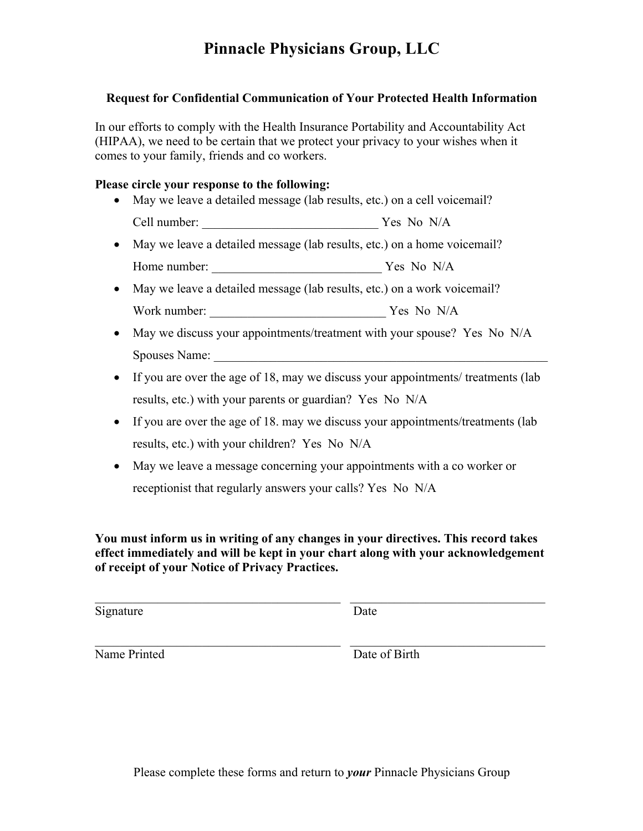### **Request for Confidential Communication of Your Protected Health Information**

In our efforts to comply with the Health Insurance Portability and Accountability Act (HIPAA), we need to be certain that we protect your privacy to your wishes when it comes to your family, friends and co workers.

### **Please circle your response to the following:**

- May we leave a detailed message (lab results, etc.) on a cell voicemail? Cell number: \_\_\_\_\_\_\_\_\_\_\_\_\_\_\_\_\_\_\_\_\_\_\_\_\_\_\_\_ Yes No N/A
- May we leave a detailed message (lab results, etc.) on a home voicemail? Home number: \_\_\_\_\_\_\_\_\_\_\_\_\_\_\_\_\_\_\_\_\_\_\_\_\_\_\_ Yes No N/A
- May we leave a detailed message (lab results, etc.) on a work voicemail? Work number: \_\_\_\_\_\_\_\_\_\_\_\_\_\_\_\_\_\_\_\_\_\_\_\_\_\_\_\_ Yes No N/A
- May we discuss your appointments/treatment with your spouse? Yes No N/A Spouses Name:
- If you are over the age of 18, may we discuss your appointments/ treatments (lab results, etc.) with your parents or guardian? Yes No N/A
- If you are over the age of 18, may we discuss your appointments/treatments (lab results, etc.) with your children? Yes No N/A
- May we leave a message concerning your appointments with a co worker or receptionist that regularly answers your calls? Yes No N/A

**You must inform us in writing of any changes in your directives. This record takes effect immediately and will be kept in your chart along with your acknowledgement of receipt of your Notice of Privacy Practices.** 

 $\mathcal{L}_\text{max}$  , and the contribution of the contribution of the contribution of the contribution of the contribution of the contribution of the contribution of the contribution of the contribution of the contribution of t

 $\mathcal{L}_\text{max}$  , and the contribution of the contribution of the contribution of the contribution of the contribution of the contribution of the contribution of the contribution of the contribution of the contribution of t

Signature Date

Name Printed Date of Birth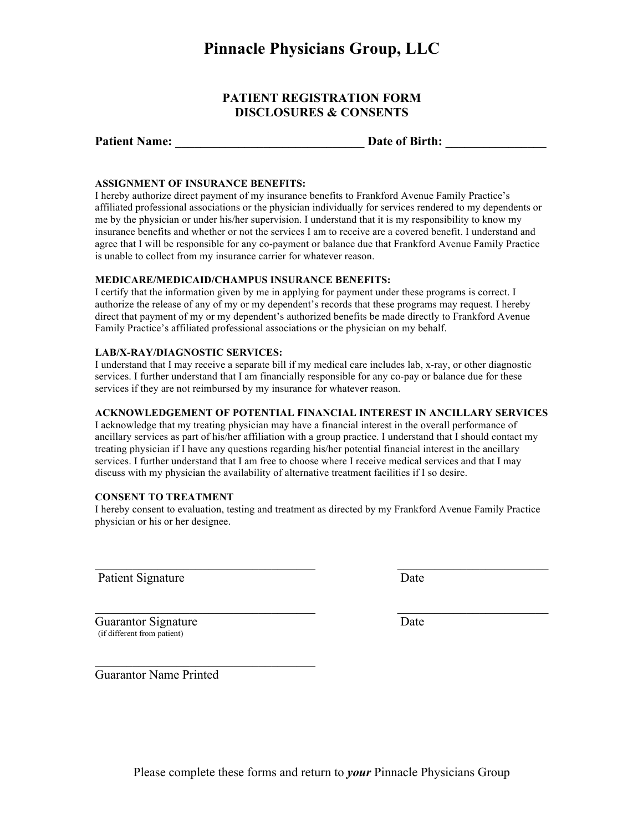#### **PATIENT REGISTRATION FORM DISCLOSURES & CONSENTS**

#### **ASSIGNMENT OF INSURANCE BENEFITS:**

I hereby authorize direct payment of my insurance benefits to Frankford Avenue Family Practice's affiliated professional associations or the physician individually for services rendered to my dependents or me by the physician or under his/her supervision. I understand that it is my responsibility to know my insurance benefits and whether or not the services I am to receive are a covered benefit. I understand and agree that I will be responsible for any co-payment or balance due that Frankford Avenue Family Practice is unable to collect from my insurance carrier for whatever reason.

#### **MEDICARE/MEDICAID/CHAMPUS INSURANCE BENEFITS:**

I certify that the information given by me in applying for payment under these programs is correct. I authorize the release of any of my or my dependent's records that these programs may request. I hereby direct that payment of my or my dependent's authorized benefits be made directly to Frankford Avenue Family Practice's affiliated professional associations or the physician on my behalf.

#### **LAB/X-RAY/DIAGNOSTIC SERVICES:**

I understand that I may receive a separate bill if my medical care includes lab, x-ray, or other diagnostic services. I further understand that I am financially responsible for any co-pay or balance due for these services if they are not reimbursed by my insurance for whatever reason.

#### **ACKNOWLEDGEMENT OF POTENTIAL FINANCIAL INTEREST IN ANCILLARY SERVICES**

I acknowledge that my treating physician may have a financial interest in the overall performance of ancillary services as part of his/her affiliation with a group practice. I understand that I should contact my treating physician if I have any questions regarding his/her potential financial interest in the ancillary services. I further understand that I am free to choose where I receive medical services and that I may discuss with my physician the availability of alternative treatment facilities if I so desire.

#### **CONSENT TO TREATMENT**

I hereby consent to evaluation, testing and treatment as directed by my Frankford Avenue Family Practice physician or his or her designee.

 $\mathcal{L}_\text{max}$  , and the contract of the contract of the contract of the contract of the contract of the contract of the contract of the contract of the contract of the contract of the contract of the contract of the contr

 $\mathcal{L}_\text{max}$  , and the contract of the contract of the contract of the contract of the contract of the contract of the contract of the contract of the contract of the contract of the contract of the contract of the contr

Patient Signature

Guarantor Signature Date (if different from patient)

Guarantor Name Printed

 $\mathcal{L}_\text{max}$  , where  $\mathcal{L}_\text{max}$  and  $\mathcal{L}_\text{max}$  and  $\mathcal{L}_\text{max}$